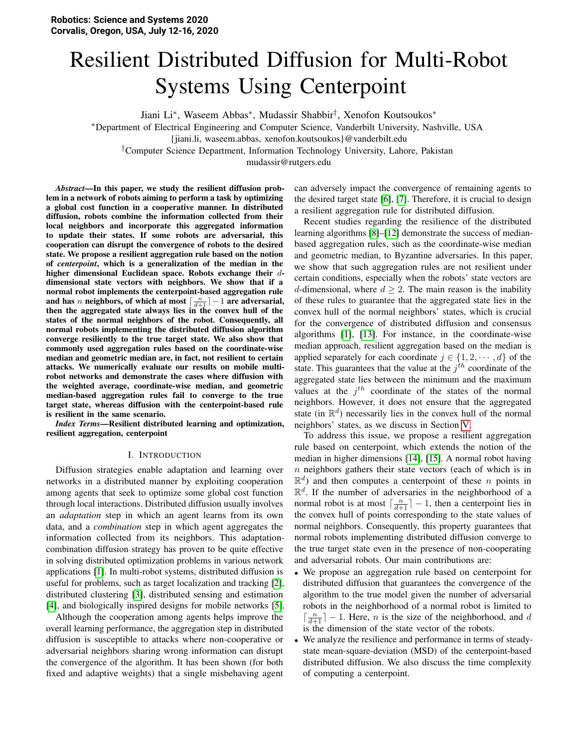# <span id="page-0-0"></span>Resilient Distributed Diffusion for Multi-Robot Systems Using Centerpoint

Jiani Li<sup>∗</sup> , Waseem Abbas<sup>∗</sup> , Mudassir Shabbir† , Xenofon Koutsoukos<sup>∗</sup>

<sup>∗</sup>Department of Electrical Engineering and Computer Science, Vanderbilt University, Nashville, USA

†Computer Science Department, Information Technology University, Lahore, Pakistan

mudassir@rutgers.edu

*Abstract*—In this paper, we study the resilient diffusion problem in a network of robots aiming to perform a task by optimizing a global cost function in a cooperative manner. In distributed diffusion, robots combine the information collected from their local neighbors and incorporate this aggregated information to update their states. If some robots are adversarial, this cooperation can disrupt the convergence of robots to the desired state. We propose a resilient aggregation rule based on the notion of *centerpoint*, which is a generalization of the median in the higher dimensional Euclidean space. Robots exchange their ddimensional state vectors with neighbors. We show that if a normal robot implements the centerpoint-based aggregation rule and has n neighbors, of which at most  $\lceil \frac{n}{d+1} \rceil - 1$  are adversarial, then the aggregated state always lies in the convex hull of the states of the normal neighbors of the robot. Consequently, all normal robots implementing the distributed diffusion algorithm converge resiliently to the true target state. We also show that commonly used aggregation rules based on the coordinate-wise median and geometric median are, in fact, not resilient to certain attacks. We numerically evaluate our results on mobile multirobot networks and demonstrate the cases where diffusion with the weighted average, coordinate-wise median, and geometric median-based aggregation rules fail to converge to the true target state, whereas diffusion with the centerpoint-based rule is resilient in the same scenario.

*Index Terms*—Resilient distributed learning and optimization, resilient aggregation, centerpoint

#### I. INTRODUCTION

Diffusion strategies enable adaptation and learning over networks in a distributed manner by exploiting cooperation among agents that seek to optimize some global cost function through local interactions. Distributed diffusion usually involves an *adaptation* step in which an agent learns from its own data, and a *combination* step in which agent aggregates the information collected from its neighbors. This adaptationcombination diffusion strategy has proven to be quite effective in solving distributed optimization problems in various network applications [\[1\]](#page-8-0). In multi-robot systems, distributed diffusion is useful for problems, such as target localization and tracking [\[2\]](#page-8-1), distributed clustering [\[3\]](#page-8-2), distributed sensing and estimation [\[4\]](#page-8-3), and biologically inspired designs for mobile networks [\[5\]](#page-8-4).

Although the cooperation among agents helps improve the overall learning performance, the aggregation step in distributed diffusion is susceptible to attacks where non-cooperative or adversarial neighbors sharing wrong information can disrupt the convergence of the algorithm. It has been shown (for both fixed and adaptive weights) that a single misbehaving agent can adversely impact the convergence of remaining agents to the desired target state [\[6\]](#page-8-5), [\[7\]](#page-8-6). Therefore, it is crucial to design a resilient aggregation rule for distributed diffusion.

Recent studies regarding the resilience of the distributed learning algorithms [\[8\]](#page-8-7)–[\[12\]](#page-8-8) demonstrate the success of medianbased aggregation rules, such as the coordinate-wise median and geometric median, to Byzantine adversaries. In this paper, we show that such aggregation rules are not resilient under certain conditions, especially when the robots' state vectors are d-dimensional, where  $d \geq 2$ . The main reason is the inability of these rules to guarantee that the aggregated state lies in the convex hull of the normal neighbors' states, which is crucial for the convergence of distributed diffusion and consensus algorithms [\[1\]](#page-8-0), [\[13\]](#page-8-9). For instance, in the coordinate-wise median approach, resilient aggregation based on the median is applied separately for each coordinate  $j \in \{1, 2, \dots, d\}$  of the state. This guarantees that the value at the  $j<sup>th</sup>$  coordinate of the aggregated state lies between the minimum and the maximum values at the  $j<sup>th</sup>$  coordinate of the states of the normal neighbors. However, it does not ensure that the aggregated state (in  $\mathbb{R}^d$ ) necessarily lies in the convex hull of the normal neighbors' states, as we discuss in Section [V.](#page-3-0)

To address this issue, we propose a resilient aggregation rule based on centerpoint, which extends the notion of the median in higher dimensions [\[14\]](#page-8-10), [\[15\]](#page-8-11). A normal robot having  $n$  neighbors gathers their state vectors (each of which is in  $\mathbb{R}^d$ ) and then computes a centerpoint of these *n* points in  $\mathbb{R}^d$ . If the number of adversaries in the neighborhood of a normal robot is at most  $\lceil \frac{n}{d+1} \rceil - 1$ , then a centerpoint lies in the convex hull of points corresponding to the state values of normal neighbors. Consequently, this property guarantees that normal robots implementing distributed diffusion converge to the true target state even in the presence of non-cooperating and adversarial robots. Our main contributions are:

- We propose an aggregation rule based on centerpoint for distributed diffusion that guarantees the convergence of the algorithm to the true model given the number of adversarial robots in the neighborhood of a normal robot is limited to  $\lceil \frac{n}{d+1} \rceil - 1$ . Here, *n* is the size of the neighborhood, and *d* is the dimension of the state vector of the robots.
- We analyze the resilience and performance in terms of steadystate mean-square-deviation (MSD) of the centerpoint-based distributed diffusion. We also discuss the time complexity of computing a centerpoint.

<sup>{</sup>jiani.li, waseem.abbas, xenofon.koutsoukos}@vanderbilt.edu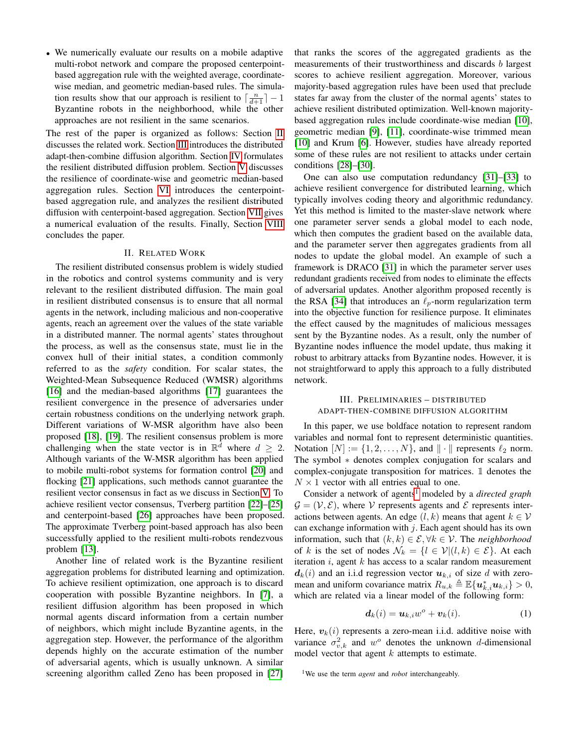• We numerically evaluate our results on a mobile adaptive multi-robot network and compare the proposed centerpointbased aggregation rule with the weighted average, coordinatewise median, and geometric median-based rules. The simulation results show that our approach is resilient to  $\lceil \frac{n}{d+1} \rceil - 1$ Byzantine robots in the neighborhood, while the other approaches are not resilient in the same scenarios.

The rest of the paper is organized as follows: Section [II](#page-1-0) discusses the related work. Section [III](#page-1-1) introduces the distributed adapt-then-combine diffusion algorithm. Section [IV](#page-2-0) formulates the resilient distributed diffusion problem. Section [V](#page-3-0) discusses the resilience of coordinate-wise and geometric median-based aggregation rules. Section [VI](#page-3-1) introduces the centerpointbased aggregation rule, and analyzes the resilient distributed diffusion with centerpoint-based aggregation. Section [VII](#page-5-0) gives a numerical evaluation of the results. Finally, Section [VIII](#page-7-0) concludes the paper.

## II. RELATED WORK

<span id="page-1-0"></span>The resilient distributed consensus problem is widely studied in the robotics and control systems community and is very relevant to the resilient distributed diffusion. The main goal in resilient distributed consensus is to ensure that all normal agents in the network, including malicious and non-cooperative agents, reach an agreement over the values of the state variable in a distributed manner. The normal agents' states throughout the process, as well as the consensus state, must lie in the convex hull of their initial states, a condition commonly referred to as the *safety* condition. For scalar states, the Weighted-Mean Subsequence Reduced (WMSR) algorithms [\[16\]](#page-8-12) and the median-based algorithms [\[17\]](#page-8-13) guarantees the resilient convergence in the presence of adversaries under certain robustness conditions on the underlying network graph. Different variations of W-MSR algorithm have also been proposed [\[18\]](#page-8-14), [\[19\]](#page-8-15). The resilient consensus problem is more challenging when the state vector is in  $\mathbb{R}^{\bar{d}}$  where  $d \geq 2$ . Although variants of the W-MSR algorithm has been applied to mobile multi-robot systems for formation control [\[20\]](#page-8-16) and flocking [\[21\]](#page-8-17) applications, such methods cannot guarantee the resilient vector consensus in fact as we discuss in Section [V.](#page-3-0) To achieve resilient vector consensus, Tverberg partition [\[22\]](#page-8-18)–[\[25\]](#page-8-19) and centerpoint-based [\[26\]](#page-8-20) approaches have been proposed. The approximate Tverberg point-based approach has also been successfully applied to the resilient multi-robots rendezvous problem [\[13\]](#page-8-9).

Another line of related work is the Byzantine resilient aggregation problems for distributed learning and optimization. To achieve resilient optimization, one approach is to discard cooperation with possible Byzantine neighbors. In [\[7\]](#page-8-6), a resilient diffusion algorithm has been proposed in which normal agents discard information from a certain number of neighbors, which might include Byzantine agents, in the aggregation step. However, the performance of the algorithm depends highly on the accurate estimation of the number of adversarial agents, which is usually unknown. A similar screening algorithm called Zeno has been proposed in [\[27\]](#page-8-21)

that ranks the scores of the aggregated gradients as the measurements of their trustworthiness and discards b largest scores to achieve resilient aggregation. Moreover, various majority-based aggregation rules have been used that preclude states far away from the cluster of the normal agents' states to achieve resilient distributed optimization. Well-known majoritybased aggregation rules include coordinate-wise median [\[10\]](#page-8-22), geometric median [\[9\]](#page-8-23), [\[11\]](#page-8-24), coordinate-wise trimmed mean [\[10\]](#page-8-22) and Krum [\[6\]](#page-8-5). However, studies have already reported some of these rules are not resilient to attacks under certain conditions [\[28\]](#page-8-25)–[\[30\]](#page-8-26).

One can also use computation redundancy [\[31\]](#page-8-27)–[\[33\]](#page-8-28) to achieve resilient convergence for distributed learning, which typically involves coding theory and algorithmic redundancy. Yet this method is limited to the master-slave network where one parameter server sends a global model to each node, which then computes the gradient based on the available data, and the parameter server then aggregates gradients from all nodes to update the global model. An example of such a framework is DRACO [\[31\]](#page-8-27) in which the parameter server uses redundant gradients received from nodes to eliminate the effects of adversarial updates. Another algorithm proposed recently is the RSA [\[34\]](#page-8-29) that introduces an  $\ell_p$ -norm regularization term into the objective function for resilience purpose. It eliminates the effect caused by the magnitudes of malicious messages sent by the Byzantine nodes. As a result, only the number of Byzantine nodes influence the model update, thus making it robust to arbitrary attacks from Byzantine nodes. However, it is not straightforward to apply this approach to a fully distributed network.

# <span id="page-1-1"></span>III. PRELIMINARIES – DISTRIBUTED ADAPT-THEN-COMBINE DIFFUSION ALGORITHM

In this paper, we use boldface notation to represent random variables and normal font to represent deterministic quantities. Notation  $[N] := \{1, 2, \ldots, N\}$ , and  $\|\cdot\|$  represents  $\ell_2$  norm. The symbol ∗ denotes complex conjugation for scalars and complex-conjugate transposition for matrices. 1 denotes the  $N \times 1$  vector with all entries equal to one.

Consider a network of agents<sup>[1](#page-0-0)</sup> modeled by a *directed graph*  $\mathcal{G} = (\mathcal{V}, \mathcal{E})$ , where V represents agents and E represents interactions between agents. An edge  $(l, k)$  means that agent  $k \in V$ can exchange information with  $j$ . Each agent should has its own information, such that  $(k, k) \in \mathcal{E}, \forall k \in \mathcal{V}$ . The *neighborhood* of k is the set of nodes  $\mathcal{N}_k = \{l \in \mathcal{V} | (l,k) \in \mathcal{E} \}$ . At each iteration  $i$ , agent  $k$  has access to a scalar random measurement  $d_k(i)$  and an i.i.d regression vector  $u_{k,i}$  of size d with zeromean and uniform covariance matrix  $R_{u,k} \triangleq \mathbb{E}\{\boldsymbol{u}_{k,i}^* \boldsymbol{u}_{k,i}\} > 0$ , which are related via a linear model of the following form:

<span id="page-1-2"></span>
$$
\mathbf{d}_k(i) = \mathbf{u}_{k,i}w^o + \mathbf{v}_k(i). \tag{1}
$$

Here,  $v_k(i)$  represents a zero-mean i.i.d. additive noise with variance  $\sigma_{v,k}^2$  and  $w^o$  denotes the unknown d-dimensional model vector that agent  $k$  attempts to estimate.

<sup>&</sup>lt;sup>1</sup>We use the term *agent* and *robot* interchangeably.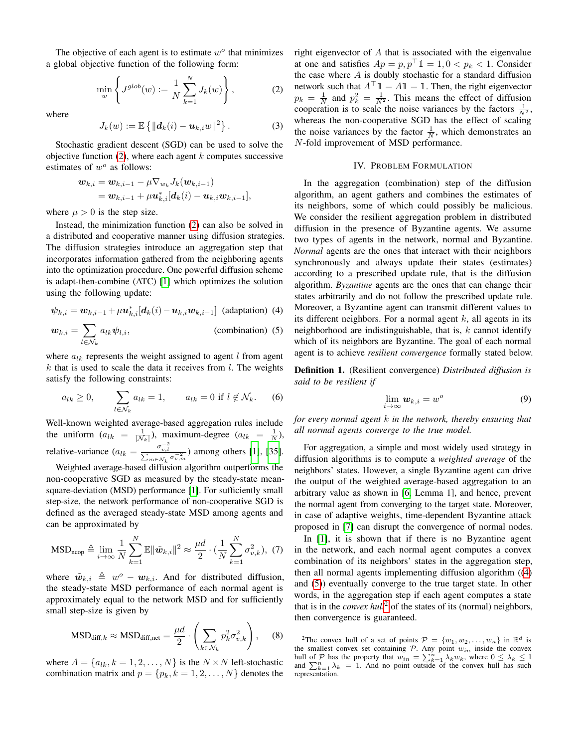The objective of each agent is to estimate  $w<sup>o</sup>$  that minimizes a global objective function of the following form:

<span id="page-2-1"></span>
$$
\min_{w} \left\{ J^{glob}(w) := \frac{1}{N} \sum_{k=1}^{N} J_k(w) \right\},
$$
 (2)

where

$$
J_k(w) := \mathbb{E}\left\{ \|\boldsymbol{d}_k(i) - \boldsymbol{u}_{k,i}w\|^2 \right\}.
$$
 (3)

Stochastic gradient descent (SGD) can be used to solve the objective function  $(2)$ , where each agent k computes successive estimates of  $w^o$  as follows:

$$
\begin{aligned} \boldsymbol{w}_{k,i} &= \boldsymbol{w}_{k,i-1} - \mu \nabla_{\boldsymbol{w}_k} J_k(\boldsymbol{w}_{k,i-1}) \\ &= \boldsymbol{w}_{k,i-1} + \mu \boldsymbol{u}_{k,i}^* [\boldsymbol{d}_k(i) - \boldsymbol{u}_{k,i} \boldsymbol{w}_{k,i-1}], \end{aligned}
$$

where  $\mu > 0$  is the step size.

Instead, the minimization function [\(2\)](#page-2-1) can also be solved in a distributed and cooperative manner using diffusion strategies. The diffusion strategies introduce an aggregation step that incorporates information gathered from the neighboring agents into the optimization procedure. One powerful diffusion scheme is adapt-then-combine (ATC) [\[1\]](#page-8-0) which optimizes the solution using the following update:

<span id="page-2-2"></span>
$$
\boldsymbol{\psi}_{k,i} = \boldsymbol{w}_{k,i-1} + \mu \boldsymbol{u}_{k,i}^* [\boldsymbol{d}_k(i) - \boldsymbol{u}_{k,i} \boldsymbol{w}_{k,i-1}]
$$
 (adaptation) (4)

<span id="page-2-3"></span>
$$
\boldsymbol{w}_{k,i} = \sum_{l \in \mathcal{N}_k} a_{lk} \psi_{l,i}, \qquad \qquad \text{(combination) (5)}
$$

where  $a_{lk}$  represents the weight assigned to agent l from agent  $k$  that is used to scale the data it receives from  $l$ . The weights satisfy the following constraints:

$$
a_{lk} \ge 0, \qquad \sum_{l \in \mathcal{N}_k} a_{lk} = 1, \qquad a_{lk} = 0 \text{ if } l \notin \mathcal{N}_k. \tag{6}
$$

Well-known weighted average-based aggregation rules include the uniform  $(a_{lk} = \frac{1}{|N_k|})$ , maximum-degree  $(a_{lk} = \frac{1}{N})$ , relative-variance  $(a_{lk} = \frac{\sigma_{v,l}^{-2}}{\sum_{m \in \mathcal{N}_k} \sigma_{v,m}^{-2}})$  among others [\[1\]](#page-8-0), [\[35\]](#page-8-30).

Weighted average-based diffusion algorithm outperforms the non-cooperative SGD as measured by the steady-state meansquare-deviation (MSD) performance [\[1\]](#page-8-0). For sufficiently small step-size, the network performance of non-cooperative SGD is defined as the averaged steady-state MSD among agents and can be approximated by

<span id="page-2-5"></span>
$$
\text{MSD}_{\text{ncop}} \triangleq \lim_{i \to \infty} \frac{1}{N} \sum_{k=1}^{N} \mathbb{E} \|\tilde{\boldsymbol{w}}_{k,i}\|^2 \approx \frac{\mu d}{2} \cdot (\frac{1}{N} \sum_{k=1}^{N} \sigma_{v,k}^2), \tag{7}
$$

where  $\tilde{w}_{k,i} \triangleq w^{\circ} - w_{k,i}$ . And for distributed diffusion, the steady-state MSD performance of each normal agent is approximately equal to the network MSD and for sufficiently small step-size is given by

<span id="page-2-6"></span>
$$
\text{MSD}_{\text{diff},k} \approx \text{MSD}_{\text{diff},\text{net}} = \frac{\mu d}{2} \cdot \left( \sum_{k \in \mathcal{N}_k} p_k^2 \sigma_{v,k}^2 \right), \quad (8)
$$

where  $A = \{a_{lk}, k = 1, 2, ..., N\}$  is the  $N \times N$  left-stochastic combination matrix and  $p = \{p_k, k = 1, 2, \dots, N\}$  denotes the right eigenvector of  $A$  that is associated with the eigenvalue at one and satisfies  $Ap = p, p^{\top} \mathbb{1} = 1, 0 < p_k < 1$ . Consider the case where  $A$  is doubly stochastic for a standard diffusion network such that  $A^{\top} \mathbb{1} = A \mathbb{1} = \mathbb{1}$ . Then, the right eigenvector  $p_k = \frac{1}{N}$  and  $p_k^2 = \frac{1}{N^2}$ . This means the effect of diffusion cooperation is to scale the noise variances by the factors  $\frac{1}{N^2}$ , whereas the non-cooperative SGD has the effect of scaling the noise variances by the factor  $\frac{1}{N}$ , which demonstrates an N-fold improvement of MSD performance.

## IV. PROBLEM FORMULATION

<span id="page-2-0"></span>In the aggregation (combination) step of the diffusion algorithm, an agent gathers and combines the estimates of its neighbors, some of which could possibly be malicious. We consider the resilient aggregation problem in distributed diffusion in the presence of Byzantine agents. We assume two types of agents in the network, normal and Byzantine. *Normal* agents are the ones that interact with their neighbors synchronously and always update their states (estimates) according to a prescribed update rule, that is the diffusion algorithm. *Byzantine* agents are the ones that can change their states arbitrarily and do not follow the prescribed update rule. Moreover, a Byzantine agent can transmit different values to its different neighbors. For a normal agent  $k$ , all agents in its neighborhood are indistinguishable, that is,  $k$  cannot identify which of its neighbors are Byzantine. The goal of each normal agent is to achieve *resilient convergence* formally stated below.

Definition 1. (Resilient convergence) *Distributed diffusion is said to be resilient if*

<span id="page-2-4"></span>
$$
\lim_{i \to \infty} \mathbf{w}_{k,i} = w^o \tag{9}
$$

*for every normal agent* k *in the network, thereby ensuring that all normal agents converge to the true model.*

For aggregation, a simple and most widely used strategy in diffusion algorithms is to compute a *weighted average* of the neighbors' states. However, a single Byzantine agent can drive the output of the weighted average-based aggregation to an arbitrary value as shown in [\[6,](#page-8-5) Lemma 1], and hence, prevent the normal agent from converging to the target state. Moreover, in case of adaptive weights, time-dependent Byzantine attack proposed in [\[7\]](#page-8-6) can disrupt the convergence of normal nodes.

In [\[1\]](#page-8-0), it is shown that if there is no Byzantine agent in the network, and each normal agent computes a convex combination of its neighbors' states in the aggregation step, then all normal agents implementing diffusion algorithm ([\(4\)](#page-2-2) and [\(5\)](#page-2-3)) eventually converge to the true target state. In other words, in the aggregation step if each agent computes a state that is in the *convex hull*<sup>[2](#page-0-0)</sup> of the states of its (normal) neighbors, then convergence is guaranteed.

<sup>2</sup>The convex hull of a set of points  $\mathcal{P} = \{w_1, w_2, \dots, w_n\}$  in  $\mathbb{R}^d$  is the smallest convex set containing  $P$ . Any point  $w_{in}$  inside the convex hull of P has the property that  $w_{in} = \sum_{k=1}^{n} \lambda_k w_k$ , where  $0 \le \lambda_k \le 1$  and  $\sum_{k=1}^{n} \lambda_k = 1$ . And no point outside of the convex hull has such representation.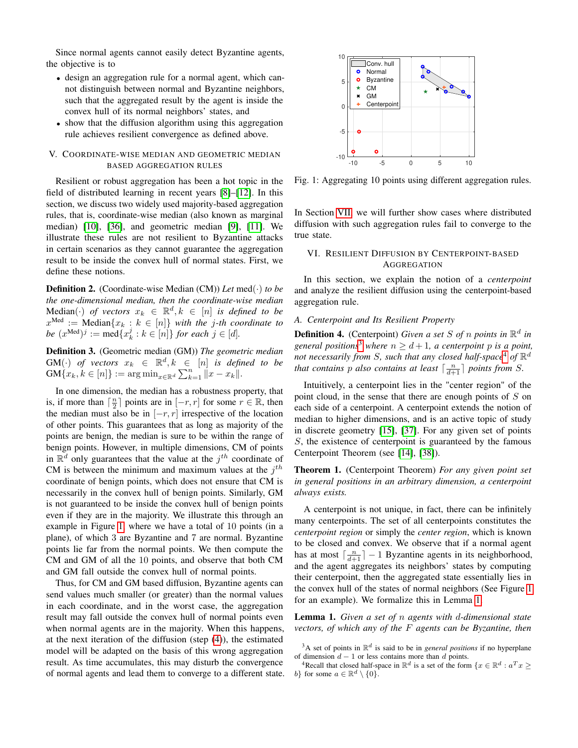Since normal agents cannot easily detect Byzantine agents, the objective is to

- design an aggregation rule for a normal agent, which cannot distinguish between normal and Byzantine neighbors, such that the aggregated result by the agent is inside the convex hull of its normal neighbors' states, and
- show that the diffusion algorithm using this aggregation rule achieves resilient convergence as defined above.

# <span id="page-3-0"></span>V. COORDINATE-WISE MEDIAN AND GEOMETRIC MEDIAN BASED AGGREGATION RULES

Resilient or robust aggregation has been a hot topic in the field of distributed learning in recent years [\[8\]](#page-8-7)–[\[12\]](#page-8-8). In this section, we discuss two widely used majority-based aggregation rules, that is, coordinate-wise median (also known as marginal median) [\[10\]](#page-8-22), [\[36\]](#page-8-31), and geometric median [\[9\]](#page-8-23), [\[11\]](#page-8-24). We illustrate these rules are not resilient to Byzantine attacks in certain scenarios as they cannot guarantee the aggregation result to be inside the convex hull of normal states. First, we define these notions.

Definition 2. (Coordinate-wise Median (CM)) *Let* med(·) *to be the one-dimensional median, then the coordinate-wise median*  $Median(\cdot)$  *of vectors*  $x_k \in \mathbb{R}^d, k \in [n]$  *is defined to be*  $x^{\text{Med}} := \text{Median}\{x_k : k \in [n]\}$  with the j-th coordinate to *be*  $(x^{\text{Med}})^j := \text{med}\{x_k^j : k \in [n]\}$  *for each*  $j \in [d]$ *.* 

Definition 3. (Geometric median (GM)) *The geometric median*  $GM(\cdot)$  *of vectors*  $x_k \in \mathbb{R}^d, k \in [n]$  *is defined to be*  $\text{GM}\{x_k, k \in [n]\} := \arg \min_{x \in \mathbb{R}^d} \sum_{k=1}^n ||x - x_k||.$ 

In one dimension, the median has a robustness property, that is, if more than  $\lceil \frac{n}{2} \rceil$  points are in  $[-r, r]$  for some  $r \in \mathbb{R}$ , then the median must also be in  $[-r, r]$  irrespective of the location of other points. This guarantees that as long as majority of the points are benign, the median is sure to be within the range of benign points. However, in multiple dimensions, CM of points in  $\mathbb{R}^d$  only guarantees that the value at the  $j^{th}$  coordinate of CM is between the minimum and maximum values at the  $j<sup>th</sup>$ coordinate of benign points, which does not ensure that CM is necessarily in the convex hull of benign points. Similarly, GM is not guaranteed to be inside the convex hull of benign points even if they are in the majority. We illustrate this through an example in Figure [1,](#page-3-2) where we have a total of 10 points (in a plane), of which 3 are Byzantine and 7 are normal. Byzantine points lie far from the normal points. We then compute the CM and GM of all the 10 points, and observe that both CM and GM fall outside the convex hull of normal points.

Thus, for CM and GM based diffusion, Byzantine agents can send values much smaller (or greater) than the normal values in each coordinate, and in the worst case, the aggregation result may fall outside the convex hull of normal points even when normal agents are in the majority. When this happens, at the next iteration of the diffusion (step [\(4\)](#page-2-2)), the estimated model will be adapted on the basis of this wrong aggregation result. As time accumulates, this may disturb the convergence of normal agents and lead them to converge to a different state.

<span id="page-3-2"></span>

Fig. 1: Aggregating 10 points using different aggregation rules.

In Section [VII,](#page-5-0) we will further show cases where distributed diffusion with such aggregation rules fail to converge to the true state.

# <span id="page-3-1"></span>VI. RESILIENT DIFFUSION BY CENTERPOINT-BASED **AGGREGATION**

In this section, we explain the notion of a *centerpoint* and analyze the resilient diffusion using the centerpoint-based aggregation rule.

## *A. Centerpoint and Its Resilient Property*

Definition 4. (Centerpoint) *Given a set* S *of* n *points in* R d *in general positions*<sup>[3](#page-0-0)</sup> *where*  $n \geq d+1$ , *a centerpoint p is a point*, not necessarily from S, such that any closed half-space<sup>[4](#page-0-0)</sup> of  $\mathbb{R}^d$ *that contains*  $p$  *also contains at least*  $\lceil \frac{n}{d+1} \rceil$  *points from S*.

Intuitively, a centerpoint lies in the "center region" of the point cloud, in the sense that there are enough points of S on each side of a centerpoint. A centerpoint extends the notion of median to higher dimensions, and is an active topic of study in discrete geometry [\[15\]](#page-8-11), [\[37\]](#page-8-32). For any given set of points S, the existence of centerpoint is guaranteed by the famous Centerpoint Theorem (see [\[14\]](#page-8-10), [\[38\]](#page-8-33)).

Theorem 1. (Centerpoint Theorem) *For any given point set in general positions in an arbitrary dimension, a centerpoint always exists.*

A centerpoint is not unique, in fact, there can be infinitely many centerpoints. The set of all centerpoints constitutes the *centerpoint region* or simply the *center region*, which is known to be closed and convex. We observe that if a normal agent has at most  $\lceil \frac{n}{d+1} \rceil - 1$  Byzantine agents in its neighborhood, and the agent aggregates its neighbors' states by computing their centerpoint, then the aggregated state essentially lies in the convex hull of the states of normal neighbors (See Figure [1](#page-3-2) for an example). We formalize this in Lemma [1.](#page-3-3)

<span id="page-3-3"></span>Lemma 1. *Given a set of* n *agents with* d*-dimensional state vectors, of which any of the* F *agents can be Byzantine, then*

 $3A$  set of points in  $\mathbb{R}^d$  is said to be in *general positions* if no hyperplane of dimension  $d - 1$  or less contains more than d points.

<sup>&</sup>lt;sup>4</sup>Recall that closed half-space in  $\mathbb{R}^d$  is a set of the form  $\{x \in \mathbb{R}^d : a^T x \geq 0\}$ b} for some  $a \in \mathbb{R}^d \setminus \{0\}$ .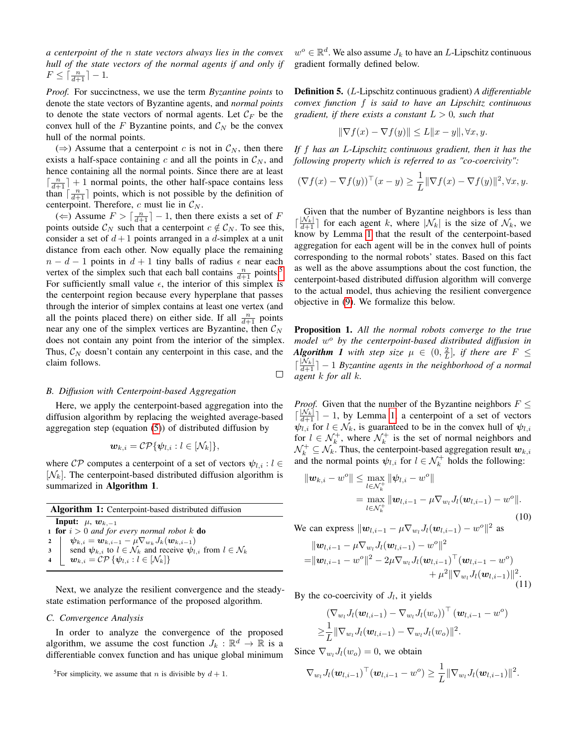*a centerpoint of the* n *state vectors always lies in the convex hull of the state vectors of the normal agents if and only if*  $F \leq \lceil \frac{n}{d+1} \rceil - 1.$ 

*Proof.* For succinctness, we use the term *Byzantine points* to denote the state vectors of Byzantine agents, and *normal points* to denote the state vectors of normal agents. Let  $\mathcal{C}_F$  be the convex hull of the F Byzantine points, and  $\mathcal{C}_N$  be the convex hull of the normal points.

 $(\Rightarrow)$  Assume that a centerpoint c is not in  $\mathcal{C}_N$ , then there exists a half-space containing c and all the points in  $\mathcal{C}_N$ , and hence containing all the normal points. Since there are at least  $\lceil \frac{n}{d+1} \rceil + 1$  normal points, the other half-space contains less than  $\lceil \frac{n}{d+1} \rceil$  points, which is not possible by the definition of centerpoint. Therefore, c must lie in  $\mathcal{C}_N$ .

(  $\Leftarrow$  ) Assume  $F > \lceil \frac{n}{d+1} \rceil - 1$ , then there exists a set of F points outside  $\mathcal{C}_N$  such that a centerpoint  $c \notin \mathcal{C}_N$ . To see this, consider a set of  $d+1$  points arranged in a d-simplex at a unit distance from each other. Now equally place the remaining  $n - d - 1$  points in  $d + 1$  tiny balls of radius  $\epsilon$  near each vertex of the simplex such that each ball contains  $\frac{n}{d+1}$  points.<sup>[5](#page-0-0)</sup> For sufficiently small value  $\epsilon$ , the interior of this simplex is the centerpoint region because every hyperplane that passes through the interior of simplex contains at least one vertex (and all the points placed there) on either side. If all  $\frac{n}{d+1}$  points near any one of the simplex vertices are Byzantine, then  $\mathcal{C}_N$ does not contain any point from the interior of the simplex. Thus,  $C_N$  doesn't contain any centerpoint in this case, and the claim follows.

## *B. Diffusion with Centerpoint-based Aggregation*

Here, we apply the centerpoint-based aggregation into the diffusion algorithm by replacing the weighted average-based aggregation step (equation [\(5\)](#page-2-3)) of distributed diffusion by

 $\Box$ 

$$
\boldsymbol{w}_{k,i} = \mathcal{CP}\{\boldsymbol{\psi}_{l,i} : l \in [\mathcal{N}_k]\},
$$

where  $\mathcal{CP}$  computes a centerpoint of a set of vectors  $\psi_{l,i}: l \in$  $[N_k]$ . The centerpoint-based distributed diffusion algorithm is summarized in Algorithm 1.

| <b>Algorithm 1:</b> Centerpoint-based distributed diffusion |                                                                                                  |
|-------------------------------------------------------------|--------------------------------------------------------------------------------------------------|
|                                                             | <b>Input:</b> $\mu$ , $w_{k,-1}$                                                                 |
|                                                             | <b>1 for</b> $i > 0$ and for every normal robot k <b>do</b>                                      |
|                                                             | 2 $\psi_{k,i} = \mathbf{w}_{k,i-1} - \mu \nabla_{w_k} J_k(\mathbf{w}_{k,i-1})$                   |
|                                                             | 3 send $\psi_{k,i}$ to $l \in \mathcal{N}_k$ and receive $\psi_{l,i}$ from $l \in \mathcal{N}_k$ |
| $4 \vert$                                                   | $\mathbf{w}_{k,i} = \mathcal{CP}\left\{\mathbf{\psi}_{l,i} : l \in [\mathcal{N}_k]\right\}$      |

Next, we analyze the resilient convergence and the steadystate estimation performance of the proposed algorithm.

## *C. Convergence Analysis*

In order to analyze the convergence of the proposed algorithm, we assume the cost function  $J_k : \mathbb{R}^d \to \mathbb{R}$  is a differentiable convex function and has unique global minimum

 $w^o \in \mathbb{R}^d$ . We also assume  $J_k$  to have an L-Lipschitz continuous gradient formally defined below.

Definition 5. (L-Lipschitz continuous gradient) *A differentiable convex function* f *is said to have an Lipschitz continuous gradient, if there exists a constant*  $L > 0$ *, such that* 

$$
\|\nabla f(x) - \nabla f(y)\| \le L\|x - y\|, \forall x, y.
$$

*If* f *has an* L*-Lipschitz continuous gradient, then it has the following property which is referred to as "co-coercivity":*

$$
(\nabla f(x) - \nabla f(y))^\top (x - y) \ge \frac{1}{L} \|\nabla f(x) - \nabla f(y)\|^2, \forall x, y.
$$

Given that the number of Byzantine neighbors is less than d  $\frac{|\mathcal{N}_k|}{d+1}$  for each agent k, where  $|\mathcal{N}_k|$  is the size of  $\mathcal{N}_k$ , we know by Lemma [1](#page-3-3) that the result of the centerpoint-based aggregation for each agent will be in the convex hull of points corresponding to the normal robots' states. Based on this fact as well as the above assumptions about the cost function, the centerpoint-based distributed diffusion algorithm will converge to the actual model, thus achieving the resilient convergence objective in [\(9\)](#page-2-4). We formalize this below.

Proposition 1. *All the normal robots converge to the true model* w <sup>o</sup> *by the centerpoint-based distributed diffusion in Algorithm 1 with step size*  $\mu \in (0, \frac{2}{L}]$ , *if there are*  $F \leq$  $\lceil \frac{|\mathcal{N}_k|}{d+1} \rceil - 1$  *Byzantine agents in the neighborhood of a normal agent* k *for all* k*.*

*Proof.* Given that the number of the Byzantine neighbors  $F \leq$  $\left\lceil \frac{|N_k|}{d+1} \right\rceil - 1$ , by Lemma [1,](#page-3-3) a centerpoint of a set of vectors  $\psi_{l,i}$  for  $l \in \mathcal{N}_k$ , is guaranteed to be in the convex hull of  $\psi_{l,i}$ for  $l \in \mathcal{N}_k^+$ , where  $\mathcal{N}_k^+$  is the set of normal neighbors and  $\mathcal{N}_k^+ \subseteq \mathcal{N}_k$ . Thus, the centerpoint-based aggregation result  $w_{k,i}$ and the normal points  $\psi_{l,i}$  for  $l \in \mathcal{N}_k^+$  holds the following:

<span id="page-4-1"></span>
$$
\|\boldsymbol{w}_{k,i} - w^o\| \le \max_{l \in \mathcal{N}_k^+} \|\psi_{l,i} - w^o\|
$$
  
= 
$$
\max_{l \in \mathcal{N}_k^+} \|\boldsymbol{w}_{l,i-1} - \mu \nabla_{w_l} J_l(\boldsymbol{w}_{l,i-1}) - w^o\|.
$$
  
(10)

We can express  $\|\mathbf{w}_{l,i-1} - \mu \nabla_{w_l} J_l(\mathbf{w}_{l,i-1}) - w^o\|^2$  as

<span id="page-4-0"></span>
$$
\|w_{l,i-1} - \mu \nabla_{w_l} J_l(\boldsymbol{w}_{l,i-1}) - w^o\|^2 = \|w_{l,i-1} - w^o\|^2 - 2\mu \nabla_{w_l} J_l(\boldsymbol{w}_{l,i-1})^\top (\boldsymbol{w}_{l,i-1} - w^o) + \mu^2 \|\nabla_{w_l} J_l(\boldsymbol{w}_{l,i-1})\|^2.
$$
\n(11)

By the co-coercivity of  $J_l$ , it yields

$$
\begin{aligned} & \left( \nabla_{w_l} J_l(\bm{w}_{l,i-1}) - \nabla_{w_l} J_l(w_o) \right)^\top (\bm{w}_{l,i-1} - w^o) \\ & \geq \! \frac{1}{L} \|\nabla_{w_l} J_l(\bm{w}_{l,i-1}) - \nabla_{w_l} J_l(w_o) \|^2. \end{aligned}
$$

Since  $\nabla_{w_l}J_l(w_o) = 0$ , we obtain

$$
\nabla_{w_l} J_l(\mathbf{w}_{l,i-1})^{\top}(\mathbf{w}_{l,i-1} - w^o) \geq \frac{1}{L} \|\nabla_{w_l} J_l(\mathbf{w}_{l,i-1})\|^2.
$$

<sup>&</sup>lt;sup>5</sup>For simplicity, we assume that *n* is divisible by  $d + 1$ .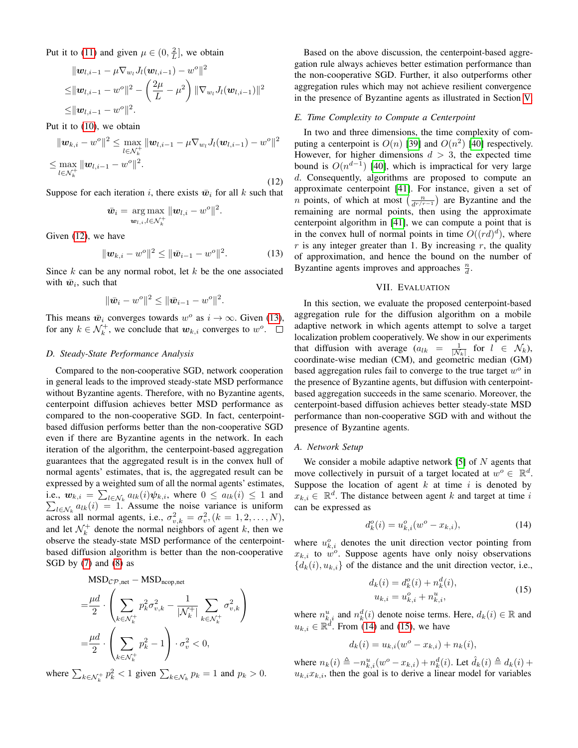Put it to [\(11\)](#page-4-0) and given  $\mu \in (0, \frac{2}{L}]$ , we obtain

$$
\begin{aligned} &\|\boldsymbol{w}_{l,i-1}-\mu \nabla_{w_l} J_l(\boldsymbol{w}_{l,i-1})-w^o\|^2\\ \leq& \|\boldsymbol{w}_{l,i-1}-w^o\|^2-\left(\frac{2\mu}{L}-\mu^2\right)\|\nabla_{w_l} J_l(\boldsymbol{w}_{l,i-1})\|^2\\ \leq& \|\boldsymbol{w}_{l,i-1}-w^o\|^2. \end{aligned}
$$

Put it to [\(10\)](#page-4-1), we obtain

<span id="page-5-1"></span>
$$
\|\mathbf{w}_{k,i} - w^o\|^2 \le \max_{l \in \mathcal{N}_k^+} \|\mathbf{w}_{l,i-1} - \mu \nabla_{w_l} J_l(\mathbf{w}_{l,i-1}) - w^o\|^2
$$
  

$$
\le \max_{l \in \mathcal{N}_k^+} \|\mathbf{w}_{l,i-1} - w^o\|^2.
$$
 (12)

Suppose for each iteration i, there exists  $\bar{w}_i$  for all k such that

$$
\bar{\boldsymbol{w}}_i = \argmax_{\boldsymbol{w}_{l,i}, l \in \mathcal{N}_k^+} \|\boldsymbol{w}_{l,i} - w^o\|^2.
$$

Given [\(12\)](#page-5-1), we have

<span id="page-5-2"></span>
$$
\|\mathbf{w}_{k,i} - w^o\|^2 \le \|\bar{\mathbf{w}}_{i-1} - w^o\|^2. \tag{13}
$$

Since  $k$  can be any normal robot, let  $k$  be the one associated with  $\bar{w}_i$ , such that

$$
\|\bar{\bm{w}}_i - w^o\|^2 \leq \|\bar{\bm{w}}_{i-1} - w^o\|^2.
$$

This means  $\bar{w}_i$  converges towards  $w^o$  as  $i \to \infty$ . Given [\(13\)](#page-5-2), for any  $k \in \mathcal{N}_k^+$ , we conclude that  $w_{k,i}$  converges to  $w^o$ .

## *D. Steady-State Performance Analysis*

Compared to the non-cooperative SGD, network cooperation in general leads to the improved steady-state MSD performance without Byzantine agents. Therefore, with no Byzantine agents, centerpoint diffusion achieves better MSD performance as compared to the non-cooperative SGD. In fact, centerpointbased diffusion performs better than the non-cooperative SGD even if there are Byzantine agents in the network. In each iteration of the algorithm, the centerpoint-based aggregation guarantees that the aggregated result is in the convex hull of normal agents' estimates, that is, the aggregated result can be expressed by a weighted sum of all the normal agents' estimates, i.e.,  $w_{k,i} = \sum_{l \in \mathcal{N}_k} a_{lk}(i) \psi_{k,i}$ , where  $0 \le a_{lk}(i) \le 1$  and  $\sum_{l \in \mathcal{N}_k} a_{lk}(i) = 1$ . Assume the noise variance is uniform across all normal agents, i.e.,  $\sigma_{v,k}^2 = \sigma_v^2$ ,  $(k = 1, 2, ..., N)$ , and let  $\mathcal{N}_k^+$  denote the normal neighbors of agent k, then we observe the steady-state MSD performance of the centerpointbased diffusion algorithm is better than the non-cooperative SGD by [\(7\)](#page-2-5) and [\(8\)](#page-2-6) as

$$
\begin{aligned} \text{MSD}_{\mathcal{CP},\text{net}} & - \text{MSD}_{\text{ncop},\text{net}} \\ & = \frac{\mu d}{2} \cdot \left( \sum_{k \in \mathcal{N}_k^+} p_k^2 \sigma_{v,k}^2 - \frac{1}{|\mathcal{N}_k^+|} \sum_{k \in \mathcal{N}_k^+} \sigma_{v,k}^2 \right) \\ & = \frac{\mu d}{2} \cdot \left( \sum_{k \in \mathcal{N}_k^+} p_k^2 - 1 \right) \cdot \sigma_v^2 < 0, \end{aligned}
$$

where  $\sum_{k \in \mathcal{N}_k^+} p_k^2 < 1$  given  $\sum_{k \in \mathcal{N}_k} p_k = 1$  and  $p_k > 0$ .

Based on the above discussion, the centerpoint-based aggregation rule always achieves better estimation performance than the non-cooperative SGD. Further, it also outperforms other aggregation rules which may not achieve resilient convergence in the presence of Byzantine agents as illustrated in Section [V.](#page-3-0)

# *E. Time Complexity to Compute a Centerpoint*

In two and three dimensions, the time complexity of computing a centerpoint is  $O(n)$  [\[39\]](#page-8-34) and  $O(n^2)$  [\[40\]](#page-8-35) respectively. However, for higher dimensions  $d > 3$ , the expected time bound is  $O(n^{d-1})$  [\[40\]](#page-8-35), which is impractical for very large d. Consequently, algorithms are proposed to compute an approximate centerpoint [\[41\]](#page-8-36). For instance, given a set of *n* points, of which at most  $\left(\frac{n}{d^{r/r-1}}\right)$  are Byzantine and the remaining are normal points, then using the approximate centerpoint algorithm in [\[41\]](#page-8-36), we can compute a point that is in the convex hull of normal points in time  $O((rd)^d)$ , where  $r$  is any integer greater than 1. By increasing  $r$ , the quality of approximation, and hence the bound on the number of Byzantine agents improves and approaches  $\frac{n}{d}$ .

## VII. EVALUATION

<span id="page-5-0"></span>In this section, we evaluate the proposed centerpoint-based aggregation rule for the diffusion algorithm on a mobile adaptive network in which agents attempt to solve a target localization problem cooperatively. We show in our experiments that diffusion with average  $(a_{lk} = \frac{1}{|N_k|})$  for  $l \in N_k$ , coordinate-wise median (CM), and geometric median (GM) based aggregation rules fail to converge to the true target  $w^o$  in the presence of Byzantine agents, but diffusion with centerpointbased aggregation succeeds in the same scenario. Moreover, the centerpoint-based diffusion achieves better steady-state MSD performance than non-cooperative SGD with and without the presence of Byzantine agents.

## *A. Network Setup*

We consider a mobile adaptive network  $[5]$  of N agents that move collectively in pursuit of a target located at  $w^o \in \mathbb{R}^d$ . Suppose the location of agent  $k$  at time  $i$  is denoted by  $x_{k,i} \in \mathbb{R}^d$ . The distance between agent k and target at time i can be expressed as

<span id="page-5-3"></span>
$$
d_k^o(i) = u_{k,i}^o(w^o - x_{k,i}),
$$
\n(14)

where  $u_{k,i}^o$  denotes the unit direction vector pointing from  $x_{k,i}$  to  $w^o$ . Suppose agents have only noisy observations  ${d_k(i), u_{k,i}}$  of the distance and the unit direction vector, i.e.,

$$
d_k(i) = d_k^o(i) + n_k^d(i),
$$
  
\n
$$
u_{k,i} = u_{k,i}^o + n_{k,i}^u,
$$
\n(15)

<span id="page-5-4"></span>where  $n_{k,i}^u$  and  $n_k^d(i)$  denote noise terms. Here,  $d_k(i) \in \mathbb{R}$  and  $u_{k,i} \in \mathbb{R}^d$ . From [\(14\)](#page-5-3) and [\(15\)](#page-5-4), we have

$$
d_k(i) = u_{k,i}(w^o - x_{k,i}) + n_k(i),
$$

where  $n_k(i) \triangleq -n_{k,i}^u(w^o - x_{k,i}) + n_k^d(i)$ . Let  $\hat{d}_k(i) \triangleq d_k(i) +$  $u_{k,i}x_{k,i}$ , then the goal is to derive a linear model for variables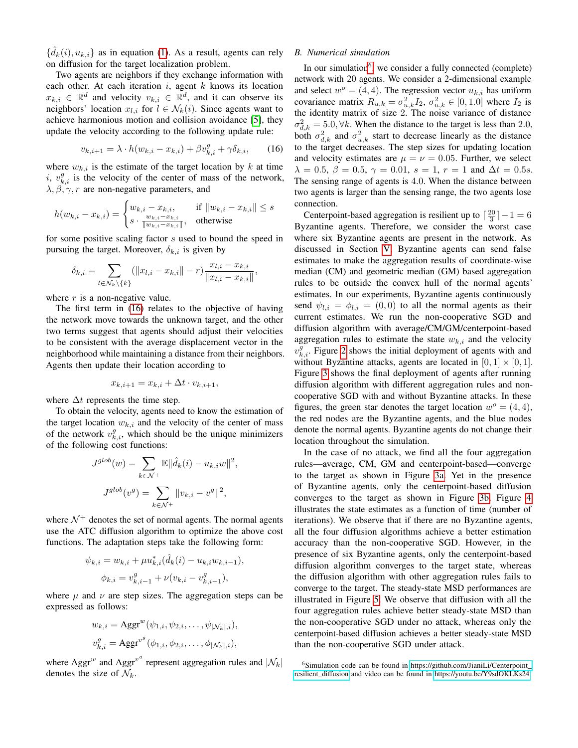$\{\hat{d}_k(i), u_{k,i}\}$  as in equation [\(1\)](#page-1-2). As a result, agents can rely on diffusion for the target localization problem.

Two agents are neighbors if they exchange information with each other. At each iteration  $i$ , agent  $k$  knows its location  $x_{k,i} \in \mathbb{R}^d$  and velocity  $v_{k,i} \in \mathbb{R}^d$ , and it can observe its neighbors' location  $x_{l,i}$  for  $l \in \mathcal{N}_k(i)$ . Since agents want to achieve harmonious motion and collision avoidance [\[5\]](#page-8-4), they update the velocity according to the following update rule:

<span id="page-6-0"></span>
$$
v_{k,i+1} = \lambda \cdot h(w_{k,i} - x_{k,i}) + \beta v_{k,i}^g + \gamma \delta_{k,i}, \qquad (16)
$$

where  $w_{k,i}$  is the estimate of the target location by k at time i,  $v_{k,i}^g$  is the velocity of the center of mass of the network,  $\lambda$ ,  $\beta$ ,  $\gamma$ , r are non-negative parameters, and

$$
h(w_{k,i} - x_{k,i}) = \begin{cases} w_{k,i} - x_{k,i}, & \text{if } ||w_{k,i} - x_{k,i}|| \le s \\ s \cdot \frac{w_{k,i} - x_{k,i}}{||w_{k,i} - x_{k,i}||}, & \text{otherwise} \end{cases}
$$

for some positive scaling factor s used to bound the speed in pursuing the target. Moreover,  $\delta_{k,i}$  is given by

$$
\delta_{k,i} = \sum_{l \in \mathcal{N}_k \setminus \{k\}} (||x_{l,i} - x_{k,i}|| - r) \frac{x_{l,i} - x_{k,i}}{||x_{l,i} - x_{k,i}||},
$$

where  $r$  is a non-negative value.

The first term in [\(16\)](#page-6-0) relates to the objective of having the network move towards the unknown target, and the other two terms suggest that agents should adjust their velocities to be consistent with the average displacement vector in the neighborhood while maintaining a distance from their neighbors. Agents then update their location according to

$$
x_{k,i+1} = x_{k,i} + \Delta t \cdot v_{k,i+1},
$$

where  $\Delta t$  represents the time step.

To obtain the velocity, agents need to know the estimation of the target location  $w_{k,i}$  and the velocity of the center of mass of the network  $v_{k,i}^g$ , which should be the unique minimizers of the following cost functions:

$$
J^{glob}(w) = \sum_{k \in \mathcal{N}^+} \mathbb{E} \|\hat{d}_k(i) - u_{k,i}w\|^2,
$$
  

$$
J^{glob}(v^g) = \sum_{k \in \mathcal{N}^+} \|v_{k,i} - v^g\|^2,
$$

where  $\mathcal{N}^+$  denotes the set of normal agents. The normal agents use the ATC diffusion algorithm to optimize the above cost functions. The adaptation steps take the following form:

$$
\psi_{k,i} = w_{k,i} + \mu u_{k,i}^*(\hat{d}_k(i) - u_{k,i}w_{k,i-1}),
$$
  

$$
\phi_{k,i} = v_{k,i-1}^g + \nu(v_{k,i} - v_{k,i-1}^g),
$$

where  $\mu$  and  $\nu$  are step sizes. The aggregation steps can be expressed as follows:

$$
w_{k,i} = \text{Aggr}^w(\psi_{1,i}, \psi_{2,i}, \dots, \psi_{|\mathcal{N}_k|,i}),
$$
  

$$
v_{k,i}^g = \text{Aggr}^{v^g}(\phi_{1,i}, \phi_{2,i}, \dots, \phi_{|\mathcal{N}_k|,i}),
$$

where Aggr<sup>w</sup> and Aggr<sup>v<sup>9</sup></sup> represent aggregation rules and  $|\mathcal{N}_k|$ denotes the size of  $\mathcal{N}_k$ .

# <span id="page-6-1"></span>*B. Numerical simulation*

In our simulation<sup>[6](#page-0-0)</sup>, we consider a fully connected (complete) network with 20 agents. We consider a 2-dimensional example and select  $w^{\circ} = (4, 4)$ . The regression vector  $u_{k,i}$  has uniform covariance matrix  $R_{u,k} = \sigma_{u,k}^2 I_2$ ,  $\sigma_{u,k}^2 \in [0, 1.0]$  where  $I_2$  is the identity matrix of size 2. The noise variance of distance  $\sigma_{d,k}^2 = 5.0, \forall k$ . When the distance to the target is less than 2.0, both  $\sigma_{d,k}^2$  and  $\sigma_{u,k}^2$  start to decrease linearly as the distance to the target decreases. The step sizes for updating location and velocity estimates are  $\mu = \nu = 0.05$ . Further, we select  $\lambda = 0.5, \beta = 0.5, \gamma = 0.01, s = 1, r = 1$  and  $\Delta t = 0.5s$ . The sensing range of agents is 4.0. When the distance between two agents is larger than the sensing range, the two agents lose connection.

Centerpoint-based aggregation is resilient up to  $\lceil \frac{20}{3} \rceil - 1 = 6$ Byzantine agents. Therefore, we consider the worst case where six Byzantine agents are present in the network. As discussed in Section [V,](#page-3-0) Byzantine agents can send false estimates to make the aggregation results of coordinate-wise median (CM) and geometric median (GM) based aggregation rules to be outside the convex hull of the normal agents' estimates. In our experiments, Byzantine agents continuously send  $\psi_{l,i} = \phi_{l,i} = (0,0)$  to all the normal agents as their current estimates. We run the non-cooperative SGD and diffusion algorithm with average/CM/GM/centerpoint-based aggregation rules to estimate the state  $w_{k,i}$  and the velocity  $v_{k,i}^g$ . Figure [2](#page-7-1) shows the initial deployment of agents with and without Byzantine attacks, agents are located in  $[0, 1] \times [0, 1]$ . Figure [3](#page-7-2) shows the final deployment of agents after running diffusion algorithm with different aggregation rules and noncooperative SGD with and without Byzantine attacks. In these figures, the green star denotes the target location  $w^{\circ} = (4, 4)$ , the red nodes are the Byzantine agents, and the blue nodes denote the normal agents. Byzantine agents do not change their location throughout the simulation.

In the case of no attack, we find all the four aggregation rules—average, CM, GM and centerpoint-based—converge to the target as shown in Figure [3a.](#page-7-2) Yet in the presence of Byzantine agents, only the centerpoint-based diffusion converges to the target as shown in Figure [3b.](#page-7-2) Figure [4](#page-7-3) illustrates the state estimates as a function of time (number of iterations). We observe that if there are no Byzantine agents, all the four diffusion algorithms achieve a better estimation accuracy than the non-cooperative SGD. However, in the presence of six Byzantine agents, only the centerpoint-based diffusion algorithm converges to the target state, whereas the diffusion algorithm with other aggregation rules fails to converge to the target. The steady-state MSD performances are illustrated in Figure [5.](#page-7-4) We observe that diffusion with all the four aggregation rules achieve better steady-state MSD than the non-cooperative SGD under no attack, whereas only the centerpoint-based diffusion achieves a better steady-state MSD than the non-cooperative SGD under attack.

<sup>&</sup>lt;sup>6</sup>Simulation code can be found in [https://github.com/JianiLi/Centerpoint\\_](https://github.com/JianiLi/Centerpoint_resilient_diffusion) resilient diffusion and video can be found in [https://youtu.be/Y9sdOKLKs24.](https://youtu.be/Y9sdOKLKs24)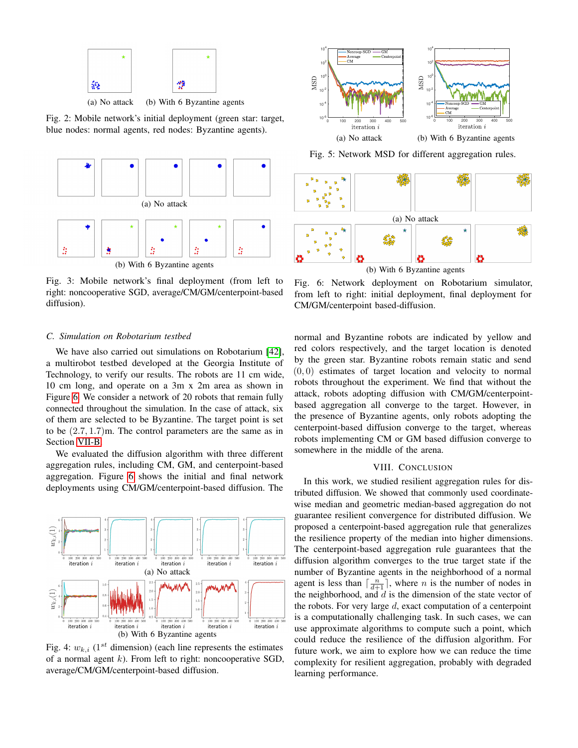<span id="page-7-1"></span>

(a) No attack (b) With 6 Byzantine agents

Fig. 2: Mobile network's initial deployment (green star: target, blue nodes: normal agents, red nodes: Byzantine agents).

<span id="page-7-2"></span>

Fig. 3: Mobile network's final deployment (from left to right: noncooperative SGD, average/CM/GM/centerpoint-based diffusion).

### *C. Simulation on Robotarium testbed*

We have also carried out simulations on Robotarium [\[42\]](#page-8-37), a multirobot testbed developed at the Georgia Institute of Technology, to verify our results. The robots are 11 cm wide, 10 cm long, and operate on a 3m x 2m area as shown in Figure [6.](#page-7-5) We consider a network of 20 robots that remain fully connected throughout the simulation. In the case of attack, six of them are selected to be Byzantine. The target point is set to be (2.7, 1.7)m. The control parameters are the same as in Section [VII-B.](#page-6-1)

We evaluated the diffusion algorithm with three different aggregation rules, including CM, GM, and centerpoint-based aggregation. Figure [6](#page-7-5) shows the initial and final network deployments using CM/GM/centerpoint-based diffusion. The

<span id="page-7-3"></span>

Fig. 4:  $w_{k,i}$  (1<sup>st</sup> dimension) (each line represents the estimates of a normal agent  $k$ ). From left to right: noncooperative SGD, average/CM/GM/centerpoint-based diffusion.

<span id="page-7-4"></span>

Fig. 5: Network MSD for different aggregation rules.

<span id="page-7-5"></span>

Fig. 6: Network deployment on Robotarium simulator, from left to right: initial deployment, final deployment for CM/GM/centerpoint based-diffusion.

normal and Byzantine robots are indicated by yellow and red colors respectively, and the target location is denoted by the green star. Byzantine robots remain static and send (0, 0) estimates of target location and velocity to normal robots throughout the experiment. We find that without the attack, robots adopting diffusion with CM/GM/centerpointbased aggregation all converge to the target. However, in the presence of Byzantine agents, only robots adopting the centerpoint-based diffusion converge to the target, whereas robots implementing CM or GM based diffusion converge to somewhere in the middle of the arena.

# VIII. CONCLUSION

<span id="page-7-0"></span>In this work, we studied resilient aggregation rules for distributed diffusion. We showed that commonly used coordinatewise median and geometric median-based aggregation do not guarantee resilient convergence for distributed diffusion. We proposed a centerpoint-based aggregation rule that generalizes the resilience property of the median into higher dimensions. The centerpoint-based aggregation rule guarantees that the diffusion algorithm converges to the true target state if the number of Byzantine agents in the neighborhood of a normal agent is less than  $\lceil \frac{n}{d+1} \rceil$ , where *n* is the number of nodes in the neighborhood, and  $d$  is the dimension of the state vector of the robots. For very large  $d$ , exact computation of a centerpoint is a computationally challenging task. In such cases, we can use approximate algorithms to compute such a point, which could reduce the resilience of the diffusion algorithm. For future work, we aim to explore how we can reduce the time complexity for resilient aggregation, probably with degraded learning performance.